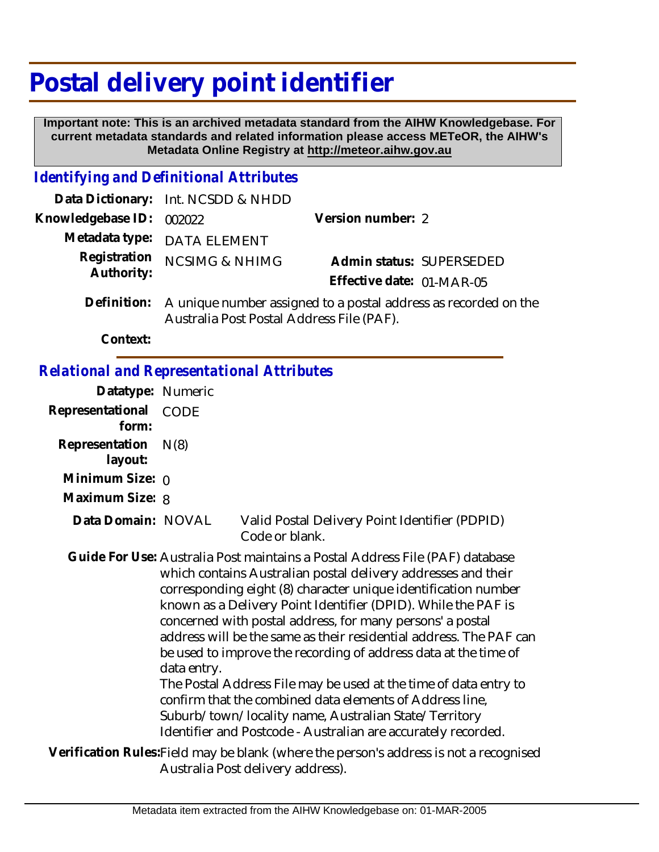# **Postal delivery point identifier**

 **Important note: This is an archived metadata standard from the AIHW Knowledgebase. For current metadata standards and related information please access METeOR, the AIHW's Metadata Online Registry at http://meteor.aihw.gov.au**

## *Identifying and Definitional Attributes*

|                            | Data Dictionary: Int. NCSDD & NHDD                                                                                       |                           |                          |
|----------------------------|--------------------------------------------------------------------------------------------------------------------------|---------------------------|--------------------------|
| Knowledgebase ID:          | 002022                                                                                                                   | Version number: 2         |                          |
|                            | Metadata type: DATA ELEMENT                                                                                              |                           |                          |
| Registration<br>Authority: | <b>NCSIMG &amp; NHIMG</b>                                                                                                | Effective date: 01-MAR-05 | Admin status: SUPERSEDED |
|                            | Definition: A unique number assigned to a postal address as recorded on the<br>Australia Post Postal Address File (PAF). |                           |                          |

**Context:**

#### *Relational and Representational Attributes*

| Datatype: Numeric         |             |                                                                                                                                                                                                                                                                                                                                                                                                                                                                                                                                                                                                                                                                                                                                                  |
|---------------------------|-------------|--------------------------------------------------------------------------------------------------------------------------------------------------------------------------------------------------------------------------------------------------------------------------------------------------------------------------------------------------------------------------------------------------------------------------------------------------------------------------------------------------------------------------------------------------------------------------------------------------------------------------------------------------------------------------------------------------------------------------------------------------|
| Representational<br>form: | CODE        |                                                                                                                                                                                                                                                                                                                                                                                                                                                                                                                                                                                                                                                                                                                                                  |
| Representation<br>layout: | N(8)        |                                                                                                                                                                                                                                                                                                                                                                                                                                                                                                                                                                                                                                                                                                                                                  |
| Minimum Size: $\rho$      |             |                                                                                                                                                                                                                                                                                                                                                                                                                                                                                                                                                                                                                                                                                                                                                  |
| Maximum Size: 8           |             |                                                                                                                                                                                                                                                                                                                                                                                                                                                                                                                                                                                                                                                                                                                                                  |
| Data Domain: NOVAL        |             | Valid Postal Delivery Point Identifier (PDPID)<br>Code or blank.                                                                                                                                                                                                                                                                                                                                                                                                                                                                                                                                                                                                                                                                                 |
|                           | data entry. | Guide For Use: Australia Post maintains a Postal Address File (PAF) database<br>which contains Australian postal delivery addresses and their<br>corresponding eight (8) character unique identification number<br>known as a Delivery Point Identifier (DPID). While the PAF is<br>concerned with postal address, for many persons' a postal<br>address will be the same as their residential address. The PAF can<br>be used to improve the recording of address data at the time of<br>The Postal Address File may be used at the time of data entry to<br>confirm that the combined data elements of Address line,<br>Suburb/town/locality name, Australian State/Territory<br>Identifier and Postcode - Australian are accurately recorded. |
|                           |             | Verification Rules: Field may be blank (where the person's address is not a recognised<br>Australia Post delivery address).                                                                                                                                                                                                                                                                                                                                                                                                                                                                                                                                                                                                                      |